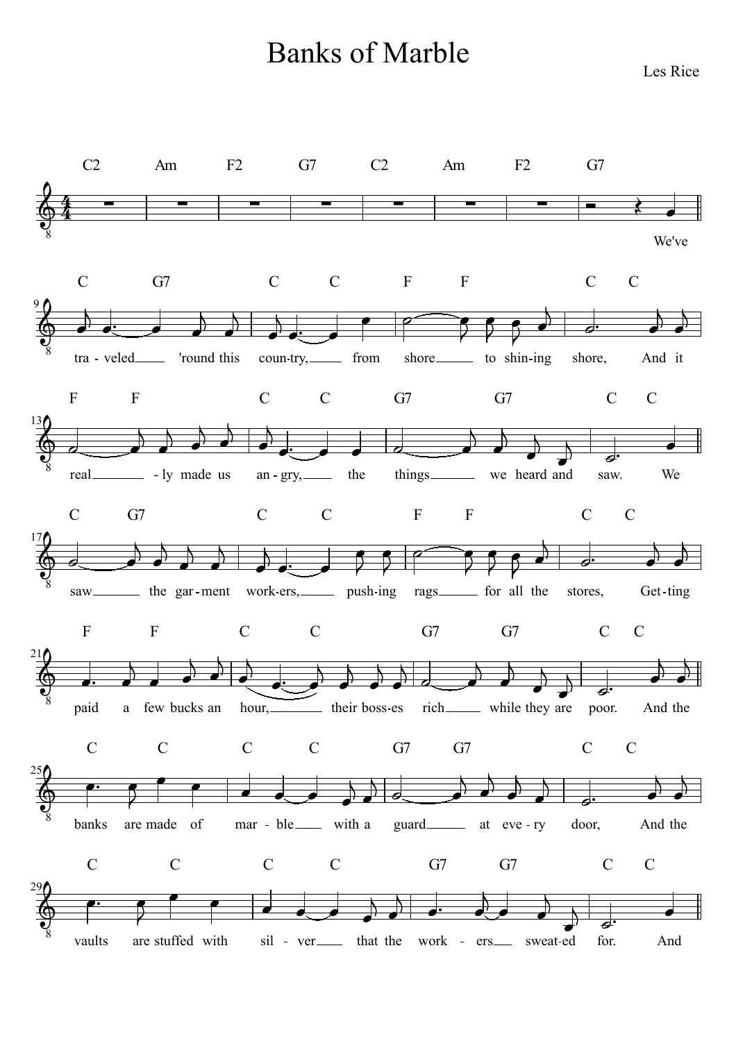Banks of Marble

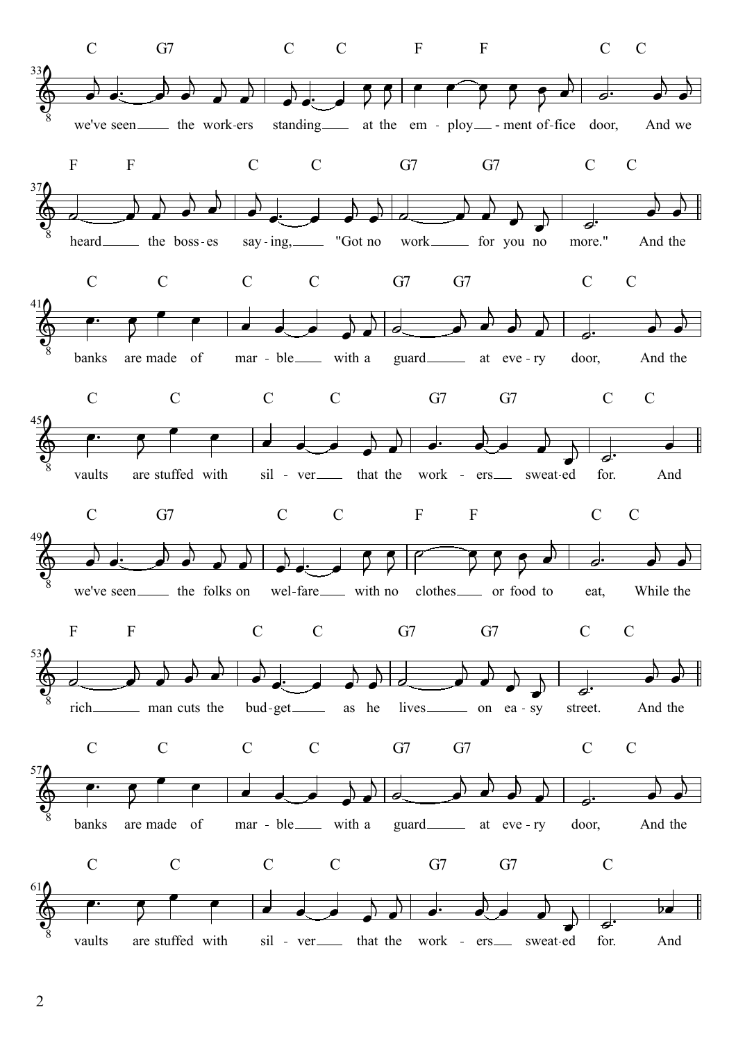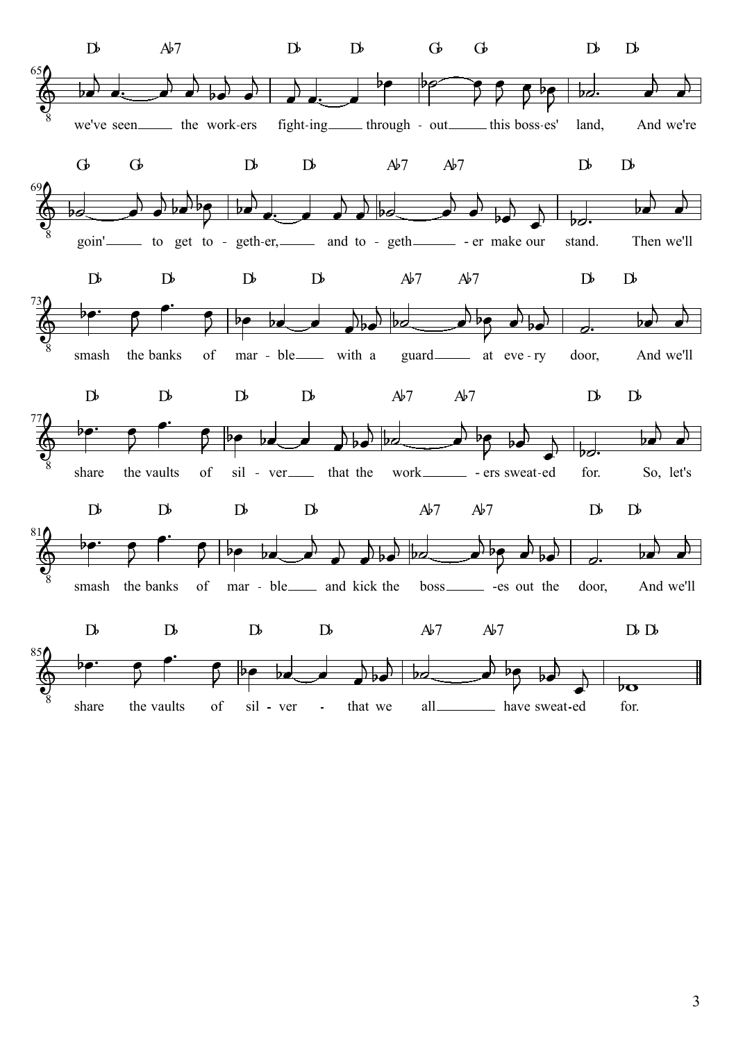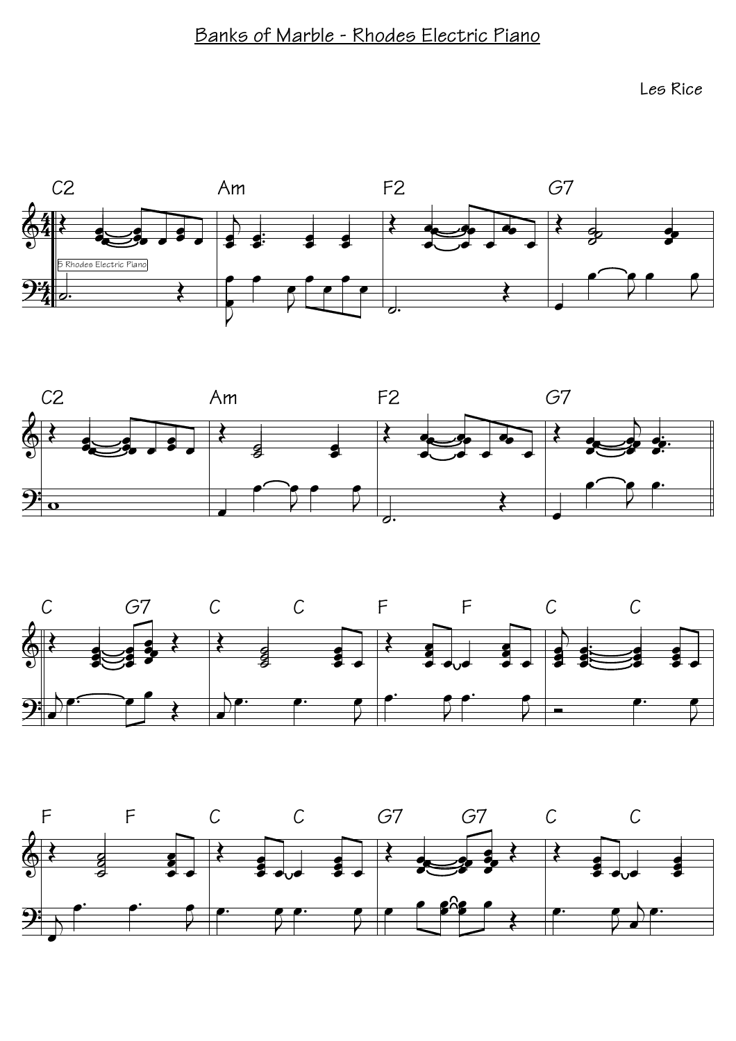





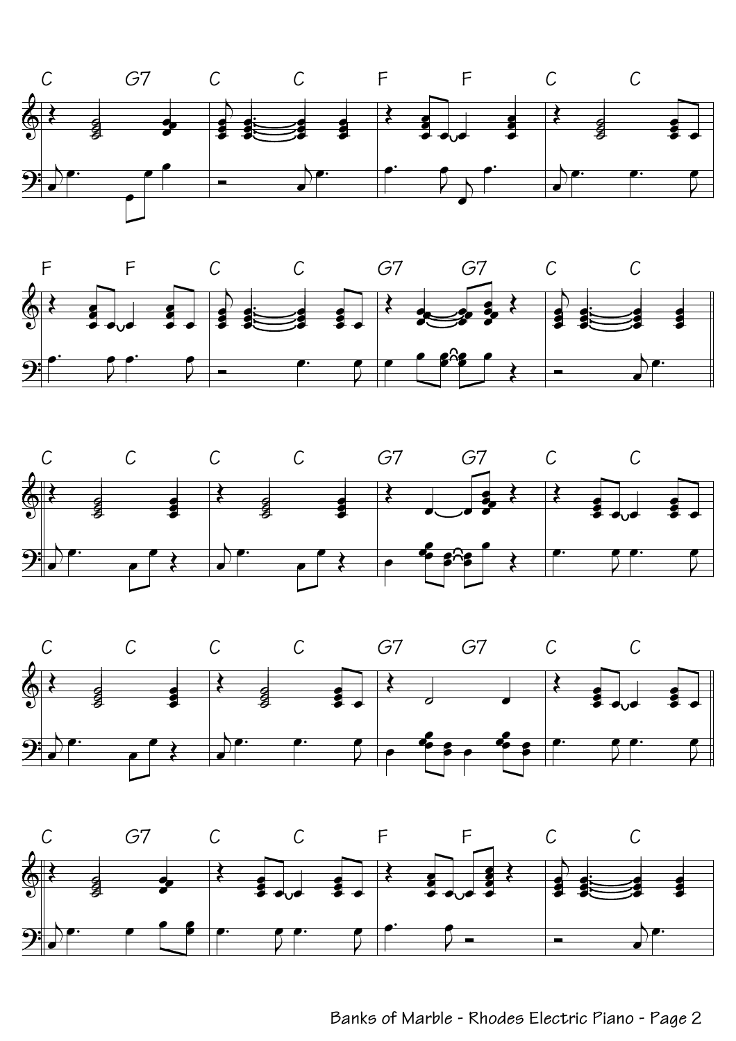







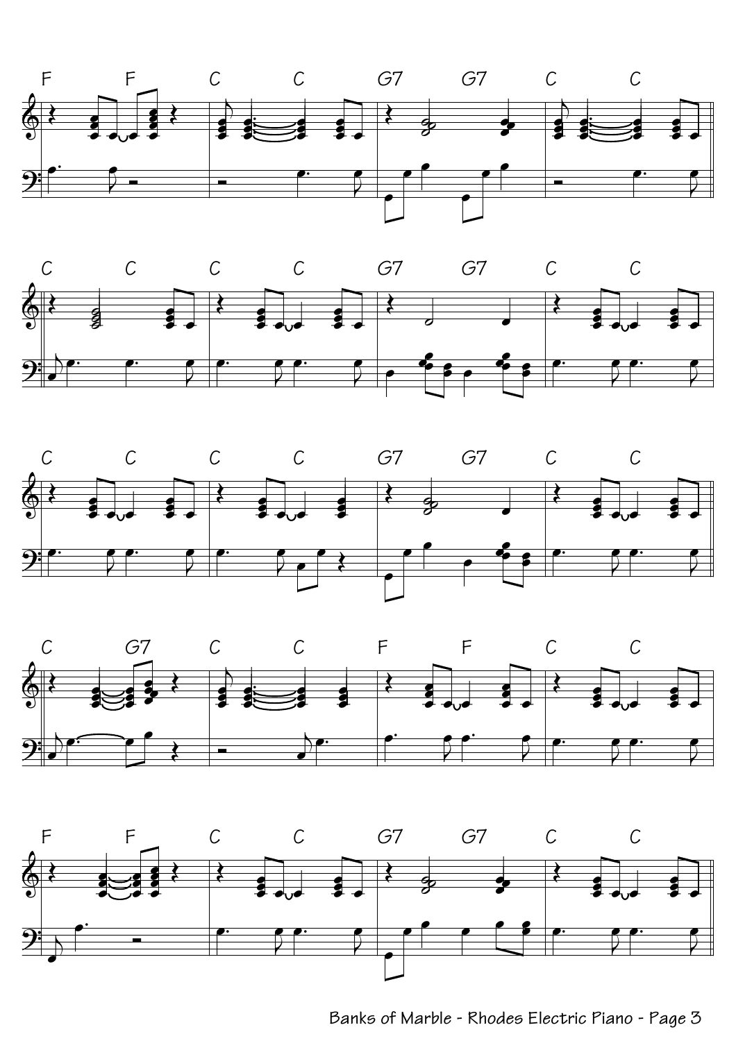









Banks of Marble - Rhodes Electric Piano - Page 3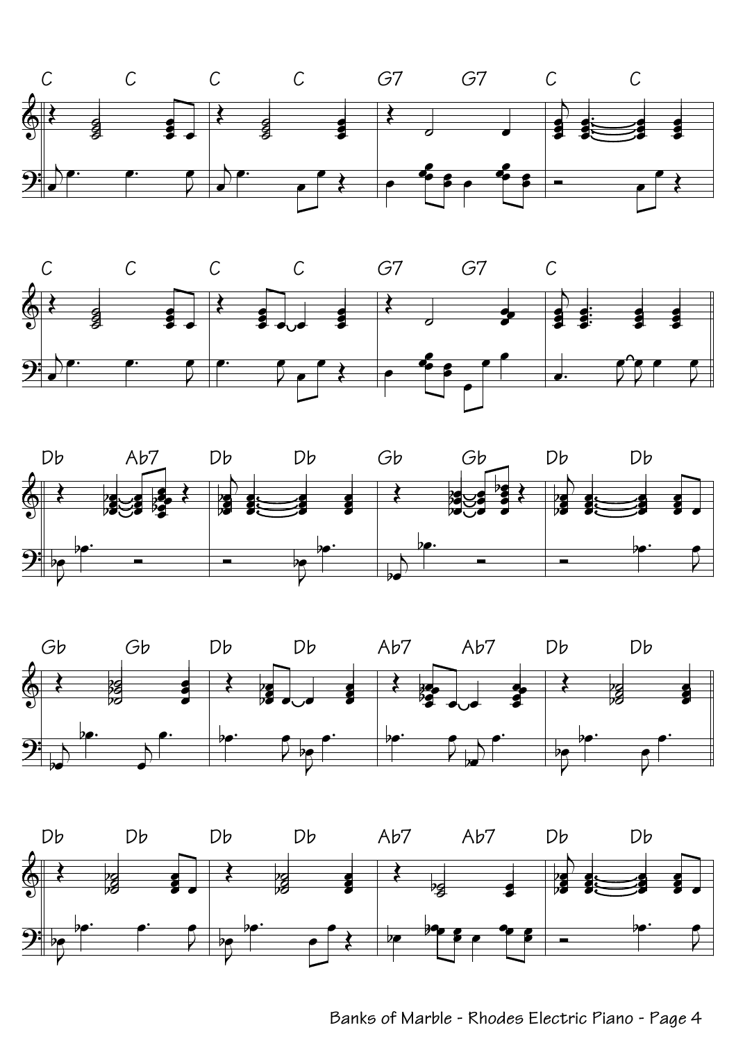









Banks of Marble - Rhodes Electric Piano - Page 4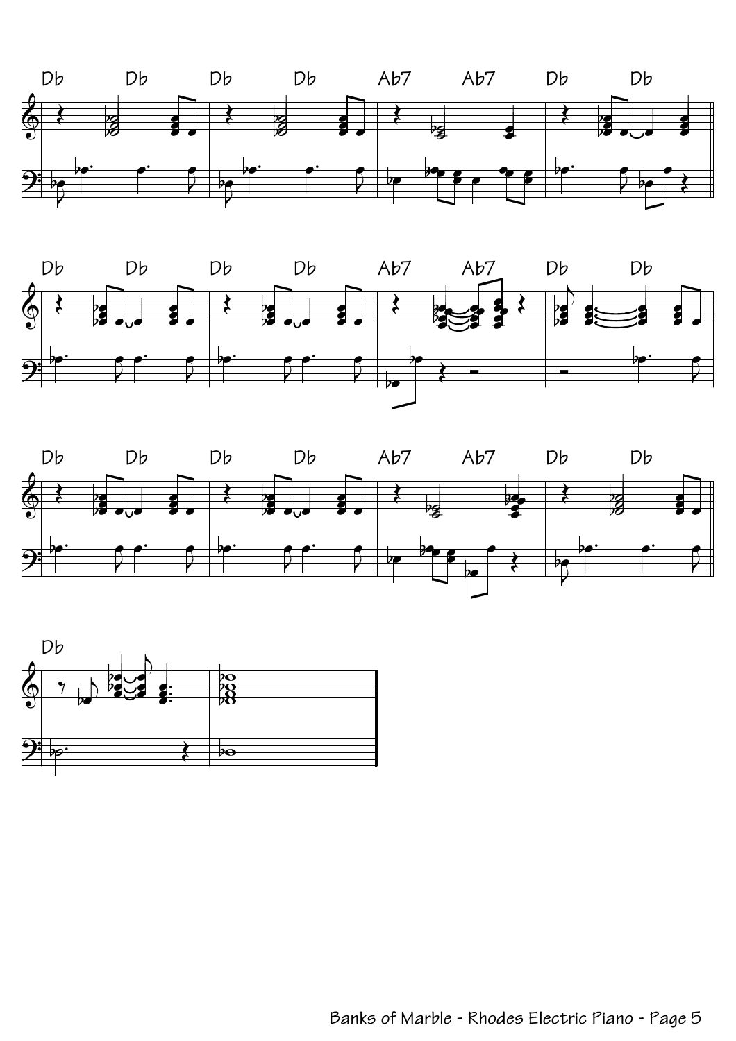





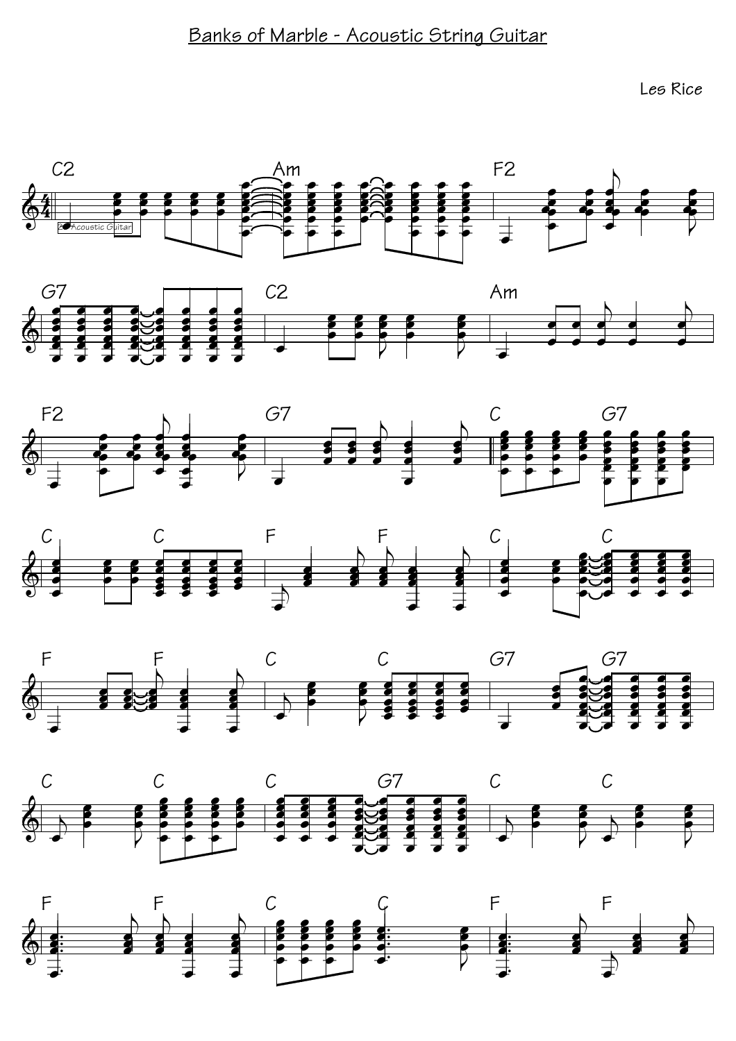











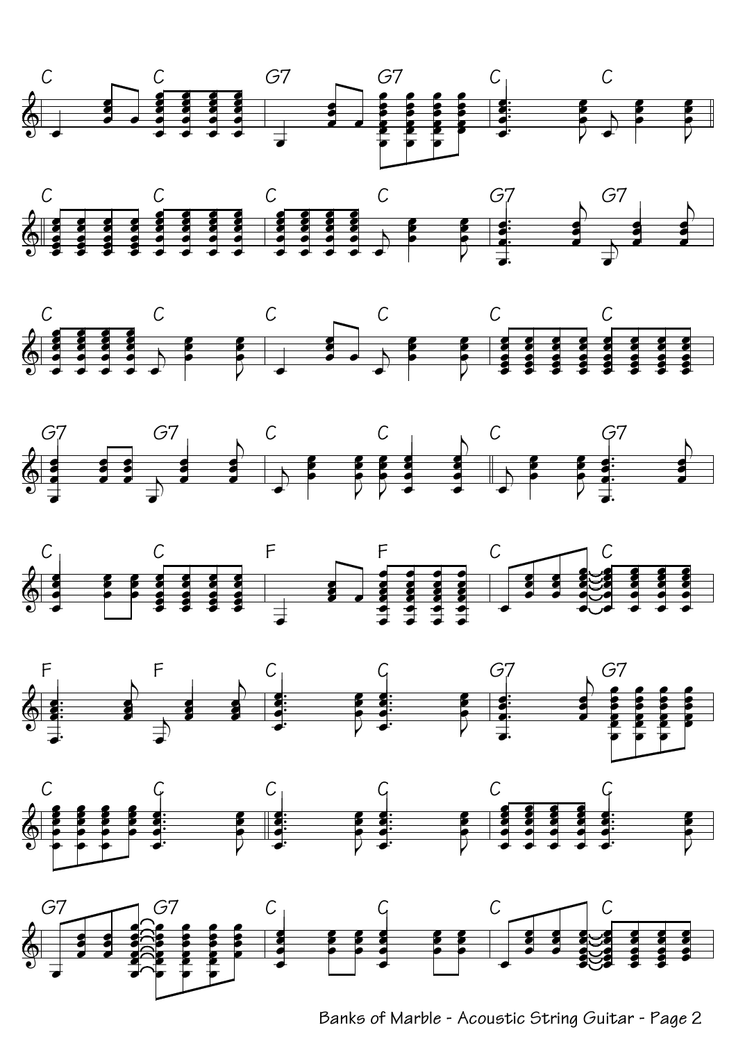















Banks of Marble - Acoustic String Guitar - Page 2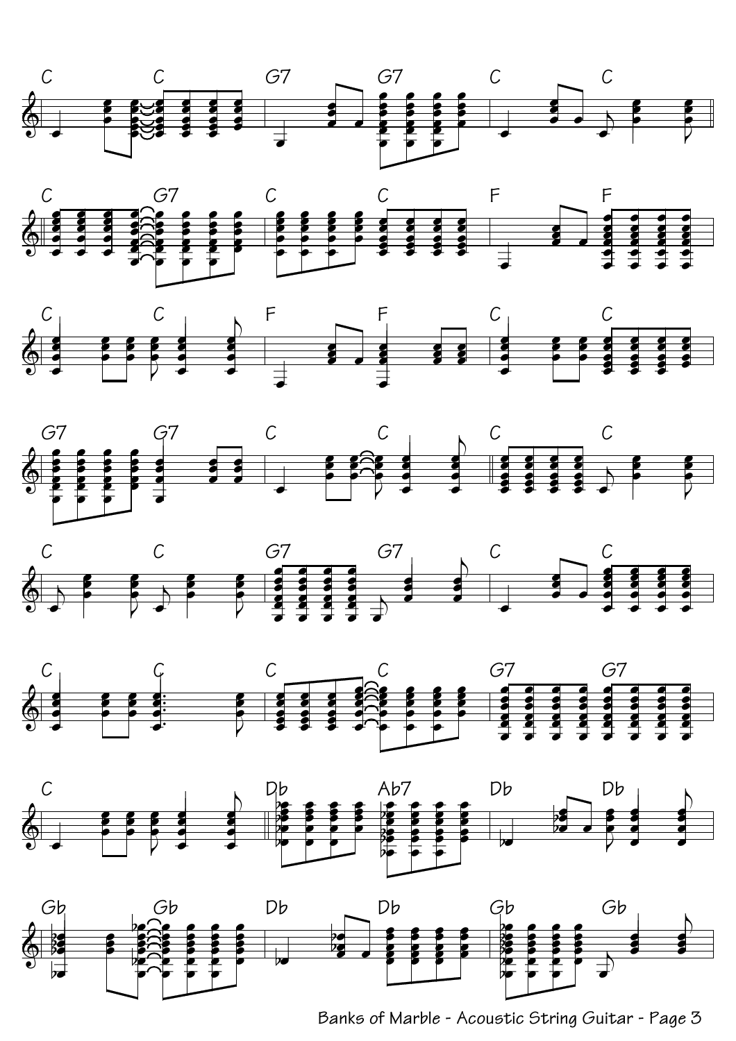















Banks of Marble - Acoustic String Guitar - Page 3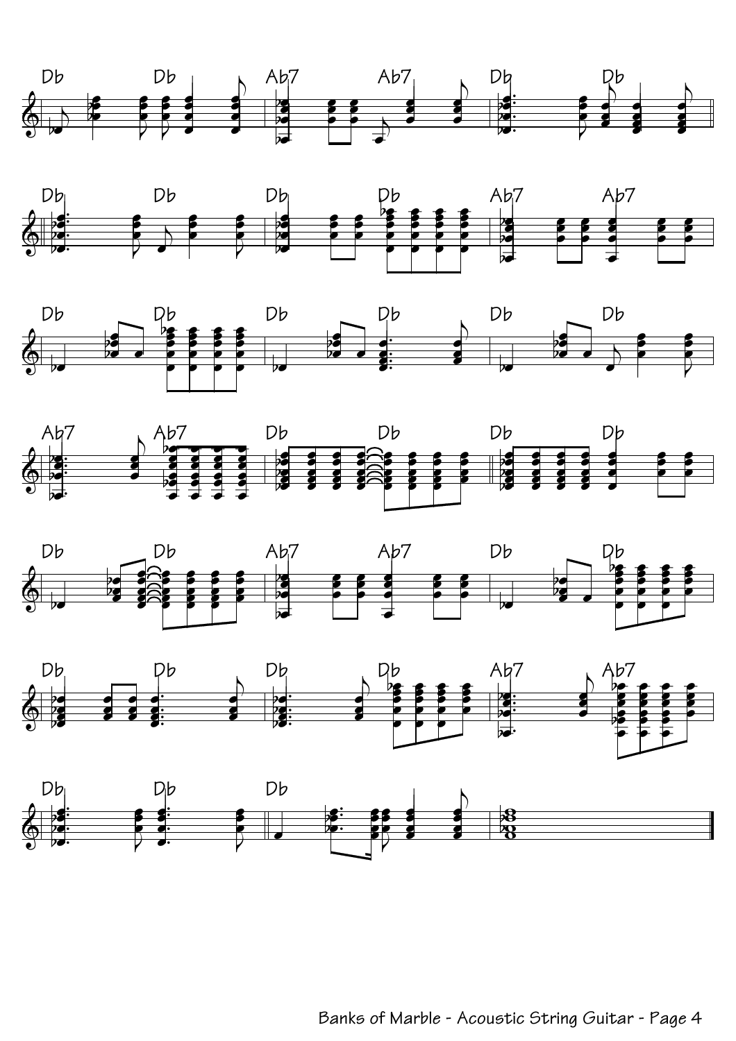











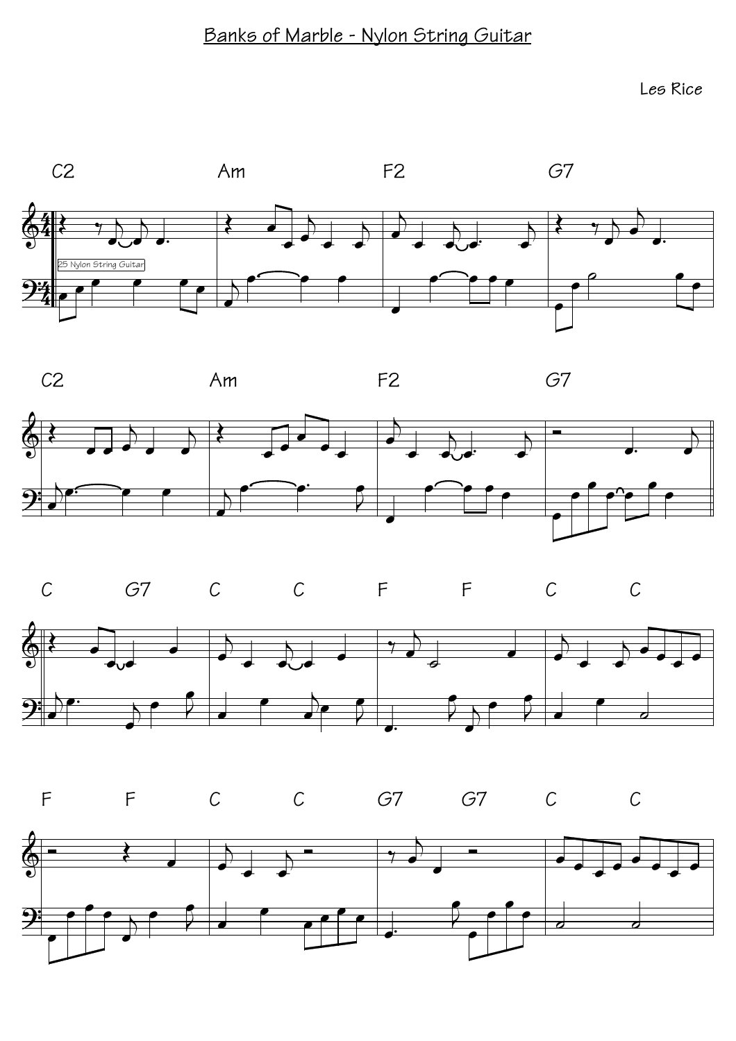







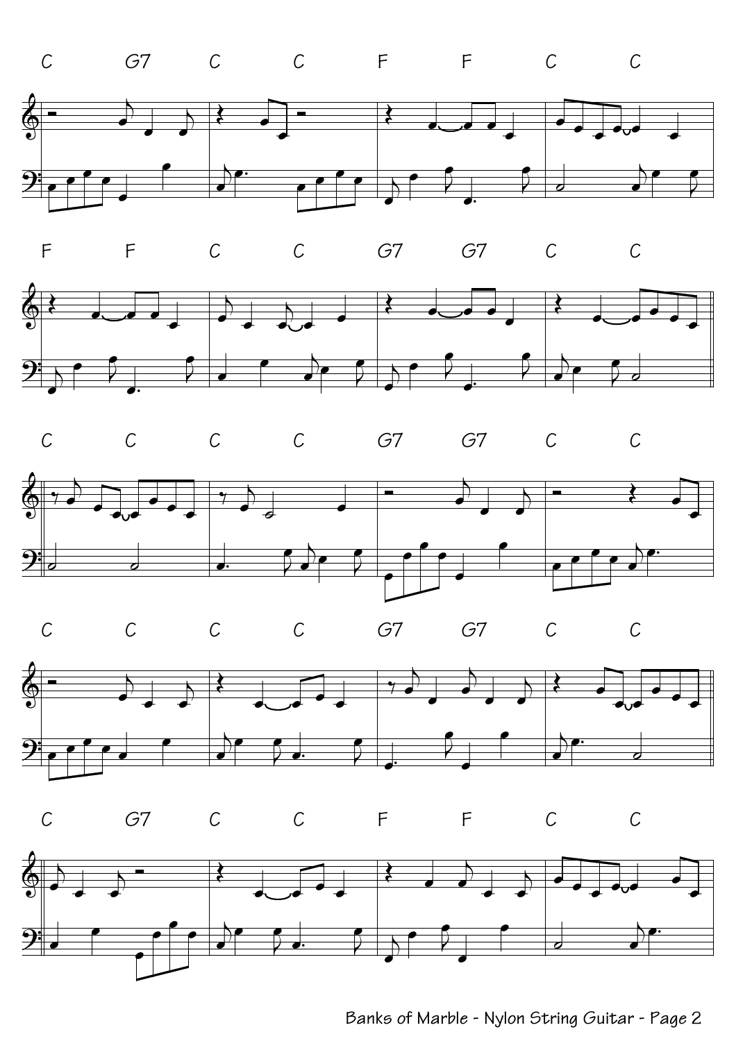

















Banks of Marble - Nylon String Guitar - Page 2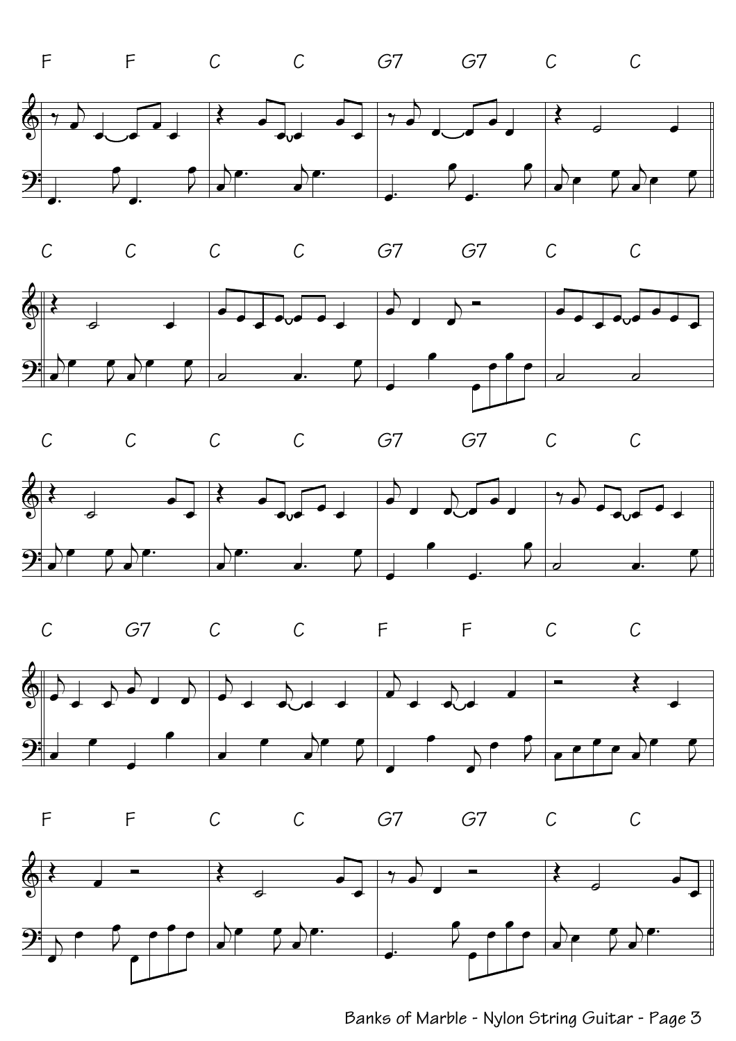















Banks of Marble - Nylon String Guitar - Page 3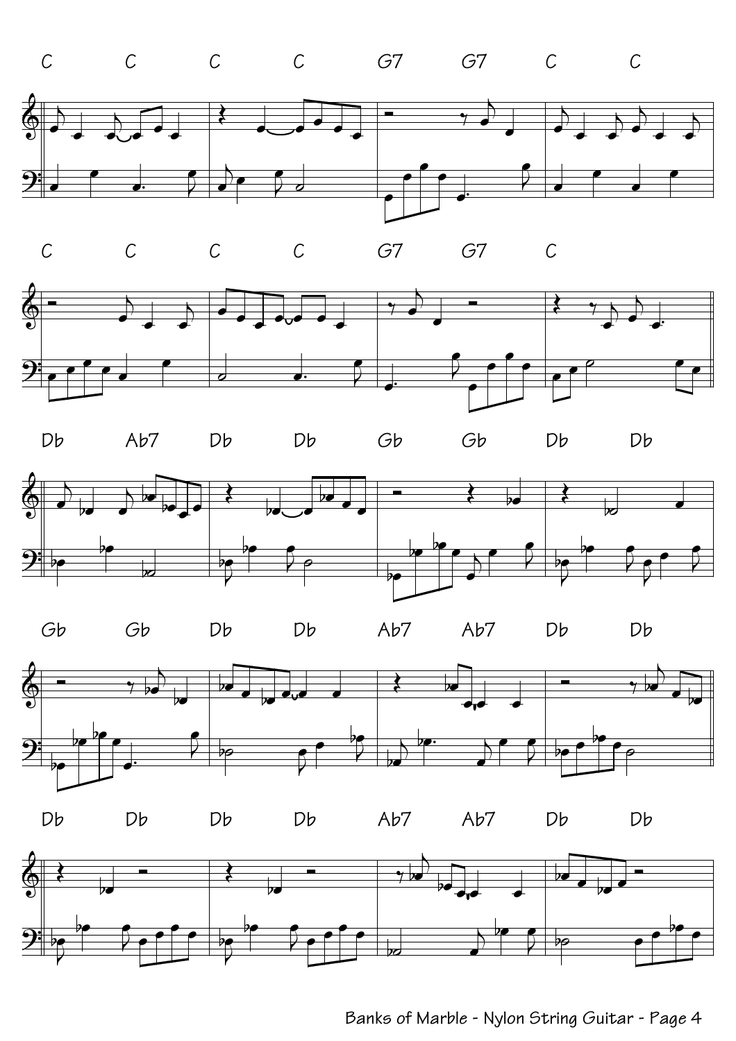

















Banks of Marble - Nylon String Guitar - Page 4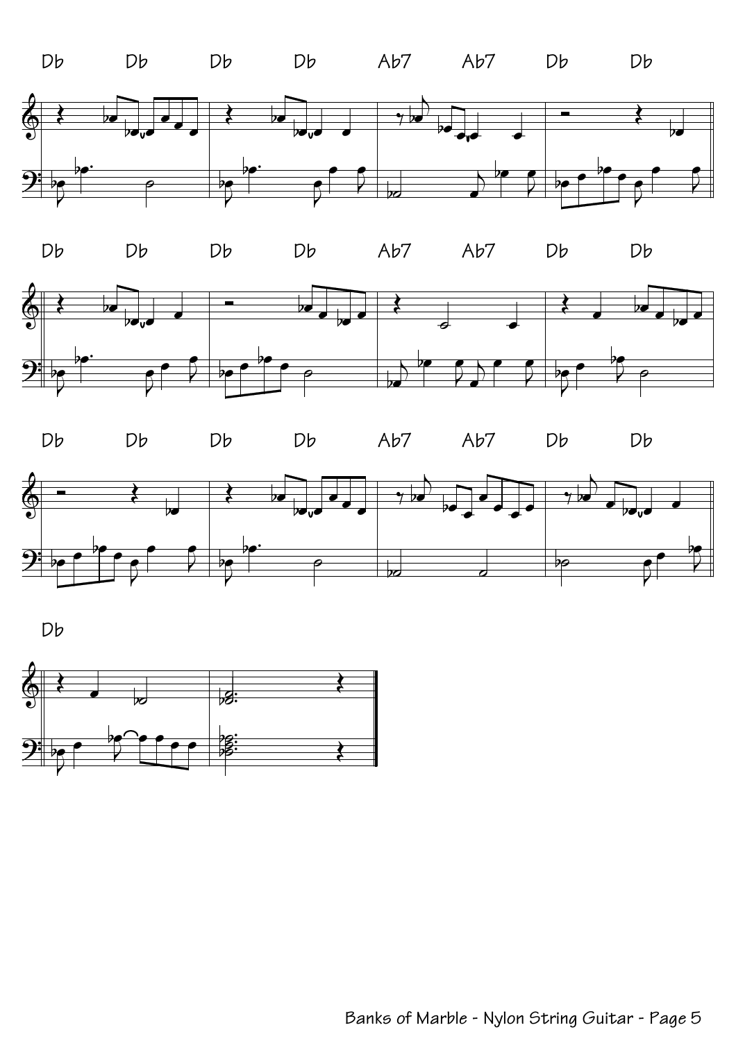





Db

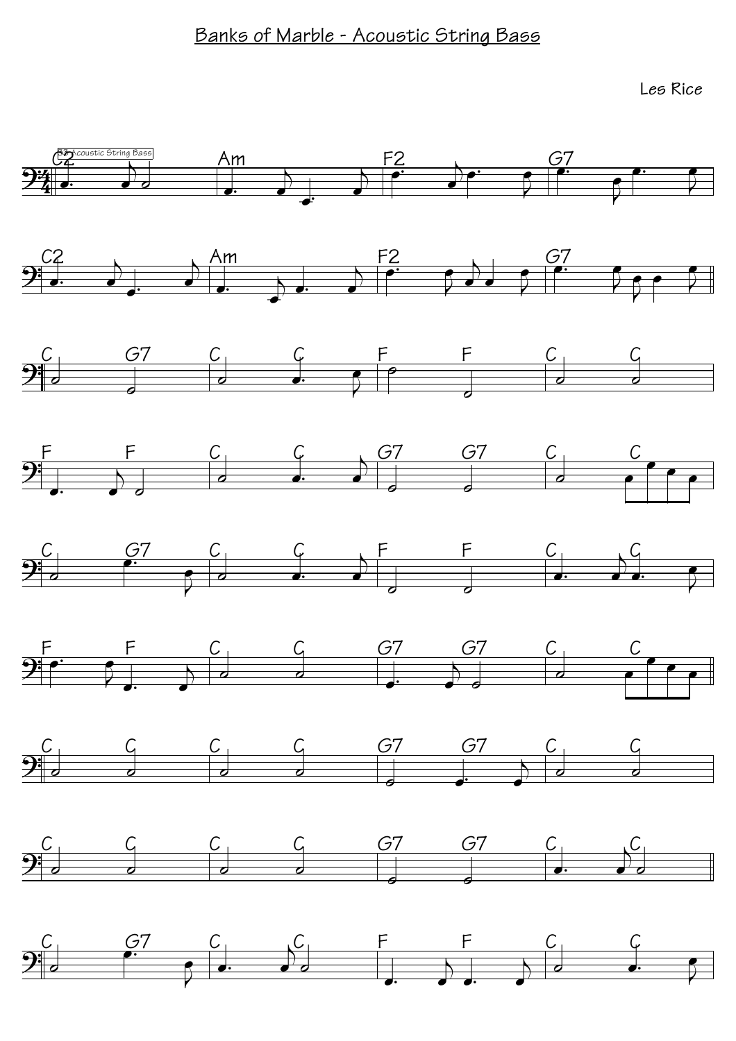## Banks of Marble - Acoustic String Bass

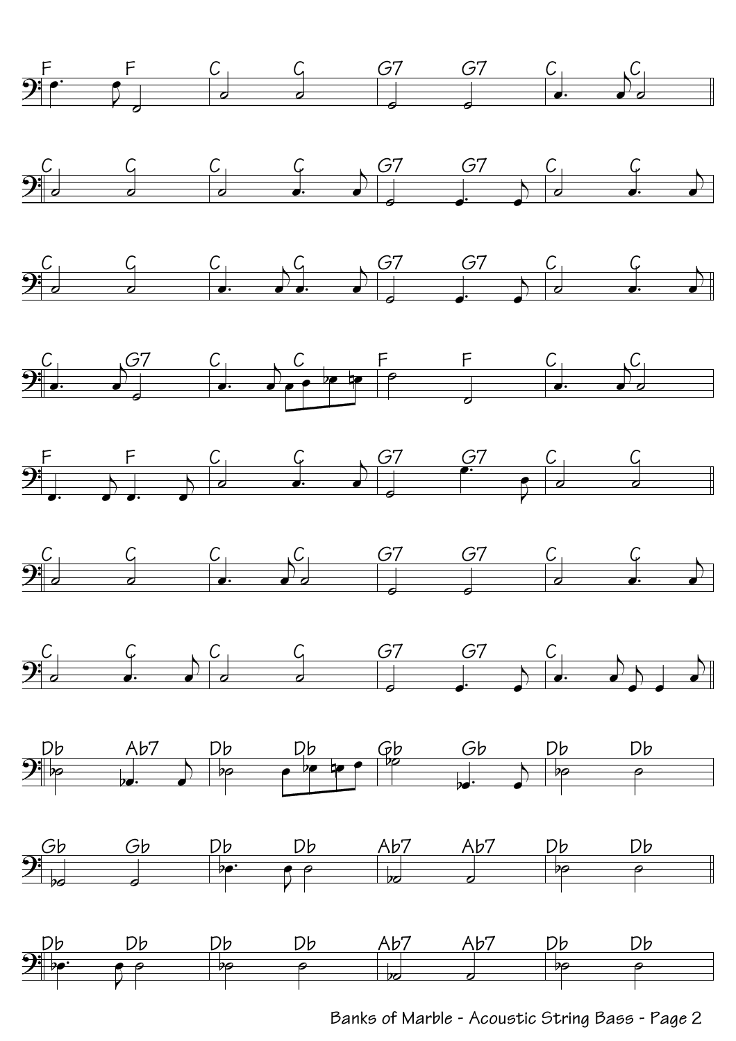

Banks of Marble - Acoustic String Bass - Page 2